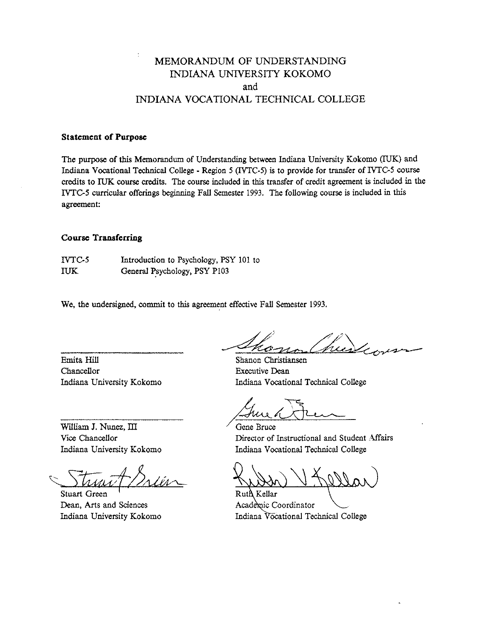# MEMORANDUM OF UNDERSTANDING INDIANA UNIVERSITY KOKOMO and INDIANA VOCATIONAL TECHNICAL COLLEGE

## **Statement of Purpose**

The purpose of this Memorandum of Understanding between Indiana University Kokomo (TUK) and Indiana Vocational Technical College - Region **5** (IVTC-5) is to provide for transfer of IVTC5 course credits to **IUK** course credits. The course included in this transfer of credit agreement is included in the IVTC5 curricular offerings beginning **Fall** Semester 1993. The following course is included in this agreement:

### **Course Transferring**

IVTG5 Introduction to Psychology, PSY 101 to IUK General Psychology, PSY P103

We, the undersigned, commit to this agreement effective **Fall** Semester 1993.

Emita Hill Shanon Christiansen Chancellor Executive **Dean**  Indiana University Kokomo Indiana Vocational Technical College

hii 4-----

Wiliam J. *Nuna,* Ill Vice Chancellor Indiana University Kokomo

Stuart Green Dean, Arts and Sciences Indiana University Kokomo

Gene Bruce Director of Instructional and Student Affairs Indiana Vocational Technical College

Ruth Kellar Academic Coordinator Indiana Vocational Technical College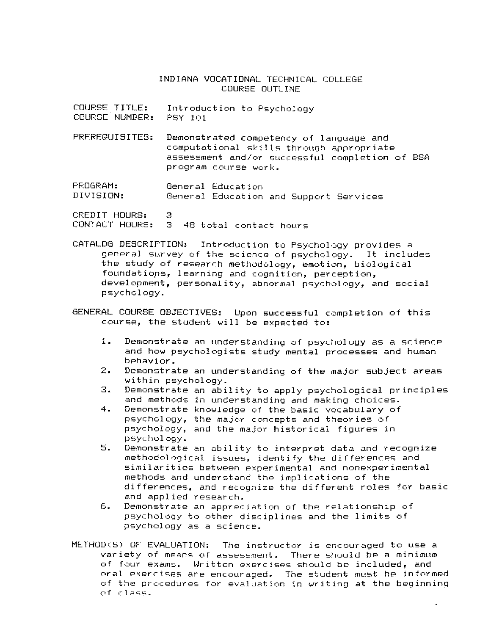### INDIANA VOCATIONAL TECHNICAL COLLEGE COURSE OUTLINE

- COURSE TITLE: Introduction to Psychology COURSE NUMREF:: PSY 101
- PREREBUISITES: Demonstrated competency of language and computational skills through appropriate assessment and/or successful completion of BSA program course work.
- PROGRAM: General Education General Education and Support Services

CREDIT HOURS: 3 CONTACT HOURS: 3 48 total contact hours

- CATALOG DESCRIPTION: Introduction to Psychology provides a general survey of the science of psychology. It includes the study of research methodology, emotion, biological foundations, learning and cognition, perception, development, personal ity, abnormal psychology, and social psychology.
- GENERAL COURSE OBJECTIVES: Upon successful completion of this course, the student will be expected to:
	- **1.** Demonstrate an understanding of psychology as a science and how psychologists study mental processes and human behavior.
	- 2. Demonstrate an understanding of the major subject areas within psychology.
	- 3. Demonstrate an ability to apply psychological principles and methods in understanding and making choices.
	- **4.** Demonstrate knowledge of the basic vocabulary of psychology, the major concepts and theories of psychology, and the major historical figures in psycho1 agy.
	- *5.* Demonstrate an ability to interpret data and recognize methodological issues, identify the differences and similar it ies between experimental and nonexper imental methods and understand the implications of the differences, and recognize the different roles for basic and applied research.
	- *6.* Demonstrate an appreciation **of** the relationship of psychology to other disciplines and the limits of psychology as a science.
- $METHOD(S)$  OF EVALUATION: The instructor is encouraged to use a var iety of means of assessment. There should be a minimum of four exams. Written exercises shoclld be included, and oral exercises are encouraged. The student must be informed of the procedures for evaluation in writing at the beginning of class.